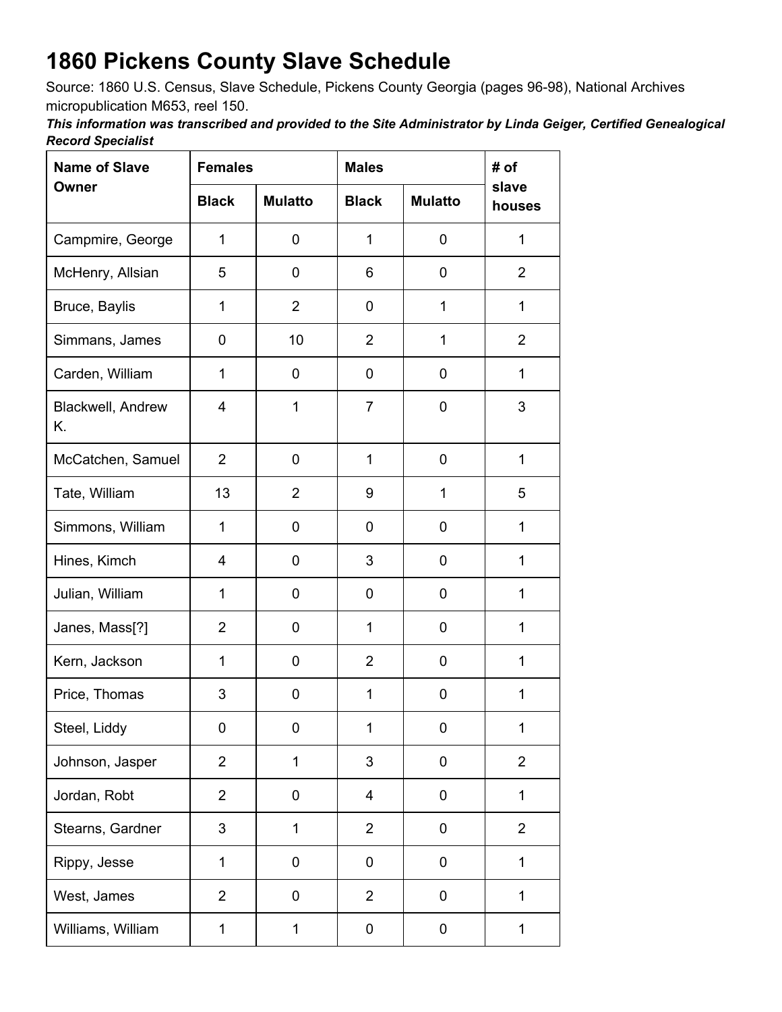## **1860 Pickens County Slave Schedule**

Source: 1860 U.S. Census, Slave Schedule, Pickens County Georgia (pages 96-98), National Archives micropublication M653, reel 150.

*This information was transcribed and provided to the Site Administrator by Linda Geiger, Certified Genealogical Record Specialist*

| <b>Name of Slave</b><br>Owner | <b>Females</b> |                | <b>Males</b>   |                | # of            |
|-------------------------------|----------------|----------------|----------------|----------------|-----------------|
|                               | <b>Black</b>   | <b>Mulatto</b> | <b>Black</b>   | <b>Mulatto</b> | slave<br>houses |
| Campmire, George              | 1              | 0              | 1              | 0              | 1               |
| McHenry, Allsian              | 5              | $\pmb{0}$      | 6              | 0              | $\overline{2}$  |
| Bruce, Baylis                 | $\mathbf{1}$   | $\overline{2}$ | 0              | $\mathbf{1}$   | $\mathbf{1}$    |
| Simmans, James                | 0              | 10             | $\overline{2}$ | 1              | $\overline{2}$  |
| Carden, William               | 1              | 0              | 0              | 0              | 1               |
| Blackwell, Andrew<br>Κ.       | 4              | 1              | $\overline{7}$ | 0              | 3               |
| McCatchen, Samuel             | $\overline{2}$ | 0              | 1              | 0              | 1               |
| Tate, William                 | 13             | $\overline{2}$ | 9              | 1              | 5               |
| Simmons, William              | 1              | 0              | 0              | 0              | 1               |
| Hines, Kimch                  | 4              | 0              | 3              | 0              | 1               |
| Julian, William               | $\mathbf{1}$   | 0              | 0              | 0              | $\mathbf{1}$    |
| Janes, Mass[?]                | $\overline{2}$ | 0              | $\mathbf 1$    | 0              | 1               |
| Kern, Jackson                 | 1              | 0              | $\overline{2}$ | 0              | 1               |
| Price, Thomas                 | 3              | 0              | 1              | 0              | 1               |
| Steel, Liddy                  | 0              | 0              | 1              | 0              | 1               |
| Johnson, Jasper               | $\overline{2}$ | $\mathbf{1}$   | 3              | $\pmb{0}$      | $\overline{2}$  |
| Jordan, Robt                  | $\overline{2}$ | $\pmb{0}$      | 4              | 0              | 1               |
| Stearns, Gardner              | 3              | $\mathbf 1$    | $\overline{2}$ | $\pmb{0}$      | $\overline{2}$  |
| Rippy, Jesse                  | $\mathbf{1}$   | 0              | 0              | 0              | 1               |
| West, James                   | $\overline{2}$ | 0              | $\overline{2}$ | 0              | 1               |
| Williams, William             | 1              | 1              | 0              | 0              | 1               |